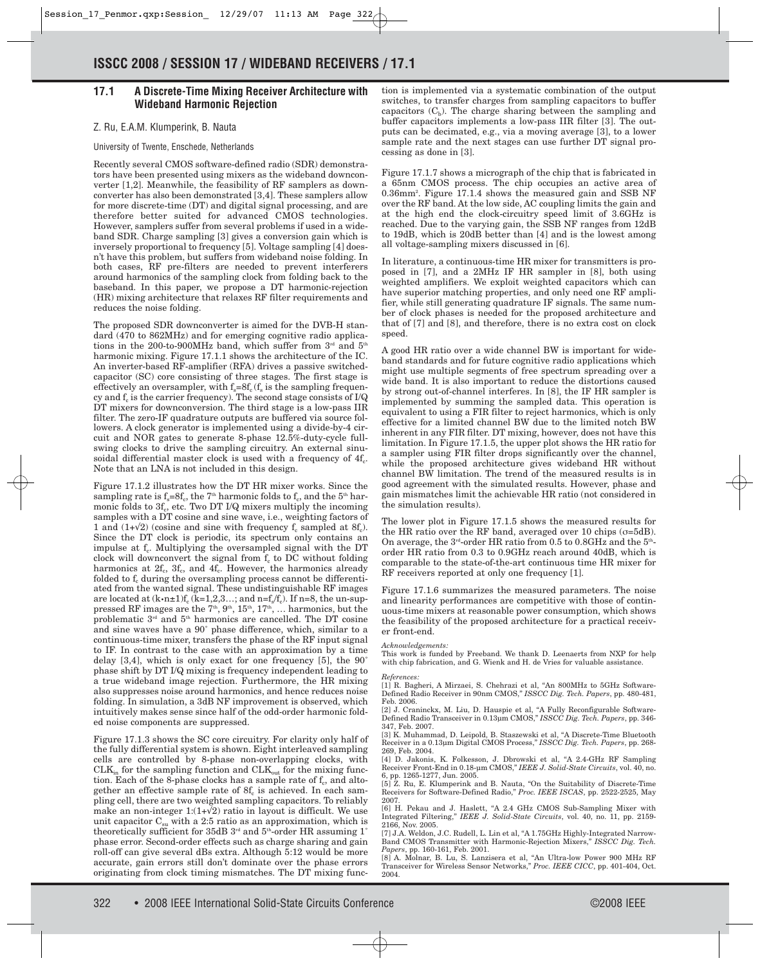# **17.1 A Discrete-Time Mixing Receiver Architecture with Wideband Harmonic Rejection**

## Z. Ru, E.A.M. Klumperink, B. Nauta

### University of Twente, Enschede, Netherlands

Recently several CMOS software-defined radio (SDR) demonstrators have been presented using mixers as the wideband downconverter [1,2]. Meanwhile, the feasibility of RF samplers as downconverter has also been demonstrated [3,4]. These samplers allow for more discrete-time (DT) and digital signal processing, and are therefore better suited for advanced CMOS technologies. However, samplers suffer from several problems if used in a wideband SDR. Charge sampling [3] gives a conversion gain which is inversely proportional to frequency [5]. Voltage sampling [4] doesn't have this problem, but suffers from wideband noise folding. In both cases, RF pre-filters are needed to prevent interferers around harmonics of the sampling clock from folding back to the baseband. In this paper, we propose a DT harmonic-rejection (HR) mixing architecture that relaxes RF filter requirements and reduces the noise folding.

The proposed SDR downconverter is aimed for the DVB-H standard (470 to 862MHz) and for emerging cognitive radio applications in the 200-to-900MHz band, which suffer from  $3<sup>rd</sup>$  and  $5<sup>th</sup>$ harmonic mixing. Figure 17.1.1 shows the architecture of the IC. An inverter-based RF-amplifier (RFA) drives a passive switchedcapacitor (SC) core consisting of three stages. The first stage is effectively an oversampler, with  $f_s = 8f_c$  ( $f_s$  is the sampling frequency and  $f_c$  is the carrier frequency). The second stage consists of  $I/Q$ DT mixers for downconversion. The third stage is a low-pass IIR filter. The zero-IF quadrature outputs are buffered via source followers. A clock generator is implemented using a divide-by-4 circuit and NOR gates to generate 8-phase 12.5%-duty-cycle fullswing clocks to drive the sampling circuitry. An external sinusoidal differential master clock is used with a frequency of  $4f_c$ . Note that an LNA is not included in this design.

Figure 17.1.2 illustrates how the DT HR mixer works. Since the sampling rate is  $f_s = 8f_c$ , the 7<sup>th</sup> harmonic folds to  $f_c$ , and the 5<sup>th</sup> harmonic folds to  $3f_c$ , etc. Two DT I/Q mixers multiply the incoming samples with a DT cosine and sine wave, i.e., weighting factors of 1 and  $(1+\sqrt{2})$  (cosine and sine with frequency  $f_c$  sampled at  $8f_c$ ). Since the DT clock is periodic, its spectrum only contains an impulse at f<sub>c</sub>. Multiplying the oversampled signal with the DT clock will downconvert the signal from  $f_c$  to DC without folding harmonics at  $2f_c$ ,  $3f_c$ , and  $4f_c$ . However, the harmonics already folded to  $f_c$  during the oversampling process cannot be differentiated from the wanted signal. These undistinguishable RF images are located at  $(k \cdot n \pm 1)f_c$  (k=1,2,3...; and n=f<sub>s</sub>/f<sub>c</sub>). If n=8, the un-suppressed RF images are the  $7<sup>th</sup>$ ,  $9<sup>th</sup>$ ,  $15<sup>th</sup>$ ,  $17<sup>th</sup>$ , ... harmonics, but the problematic  $3<sup>rd</sup>$  and  $5<sup>th</sup>$  harmonics are cancelled. The DT cosine and sine waves have a 90˚ phase difference, which, similar to a continuous-time mixer, transfers the phase of the RF input signal to IF. In contrast to the case with an approximation by a time delay [3,4], which is only exact for one frequency [5], the 90˚ phase shift by DT I/Q mixing is frequency independent leading to a true wideband image rejection. Furthermore, the HR mixing also suppresses noise around harmonics, and hence reduces noise folding. In simulation, a 3dB NF improvement is observed, which intuitively makes sense since half of the odd-order harmonic folded noise components are suppressed.

Figure 17.1.3 shows the SC core circuitry. For clarity only half of the fully differential system is shown. Eight interleaved sampling cells are controlled by 8-phase non-overlapping clocks, with  $CLK<sub>in</sub>$  for the sampling function and  $CLK<sub>out</sub>$  for the mixing function. Each of the 8-phase clocks has a sample rate of  $f_c$ , and altogether an effective sample rate of  $8f_c$  is achieved. In each sampling cell, there are two weighted sampling capacitors. To reliably make an non-integer  $1:(1+\sqrt{2})$  ratio in layout is difficult. We use unit capacitor  $C_{su}$  with a 2:5 ratio as an approximation, which is theoretically sufficient for 35dB  $3<sup>rd</sup>$  and  $5<sup>th</sup>$ -order HR assuming 1<sup>°</sup> phase error. Second-order effects such as charge sharing and gain roll-off can give several dBs extra. Although 5:12 would be more accurate, gain errors still don't dominate over the phase errors originating from clock timing mismatches. The DT mixing function is implemented via a systematic combination of the output switches, to transfer charges from sampling capacitors to buffer capacitors  $(C_b)$ . The charge sharing between the sampling and buffer capacitors implements a low-pass IIR filter [3]. The outputs can be decimated, e.g., via a moving average [3], to a lower sample rate and the next stages can use further DT signal processing as done in [3].

Figure 17.1.7 shows a micrograph of the chip that is fabricated in a 65nm CMOS process. The chip occupies an active area of 0.36mm2 . Figure 17.1.4 shows the measured gain and SSB NF over the RF band. At the low side, AC coupling limits the gain and at the high end the clock-circuitry speed limit of 3.6GHz is reached. Due to the varying gain, the SSB NF ranges from 12dB to 19dB, which is 20dB better than [4] and is the lowest among all voltage-sampling mixers discussed in [6].

In literature, a continuous-time HR mixer for transmitters is proposed in [7], and a 2MHz IF HR sampler in [8], both using weighted amplifiers. We exploit weighted capacitors which can have superior matching properties, and only need one RF amplifier, while still generating quadrature IF signals. The same number of clock phases is needed for the proposed architecture and that of [7] and [8], and therefore, there is no extra cost on clock speed.

A good HR ratio over a wide channel BW is important for wideband standards and for future cognitive radio applications which might use multiple segments of free spectrum spreading over a wide band. It is also important to reduce the distortions caused by strong out-of-channel interferes. In [8], the IF HR sampler is implemented by summing the sampled data. This operation is equivalent to using a FIR filter to reject harmonics, which is only effective for a limited channel BW due to the limited notch BW inherent in any FIR filter. DT mixing, however, does not have this limitation. In Figure 17.1.5, the upper plot shows the HR ratio for a sampler using FIR filter drops significantly over the channel, while the proposed architecture gives wideband HR without channel BW limitation. The trend of the measured results is in good agreement with the simulated results. However, phase and gain mismatches limit the achievable HR ratio (not considered in the simulation results).

The lower plot in Figure 17.1.5 shows the measured results for the HR ratio over the RF band, averaged over 10 chips  $(\sigma = 5dB)$ . On average, the  $3^{\mbox{\tiny\rm rd}}$  order HR ratio from 0.5 to 0.8GHz and the  $5^{\mbox{\tiny\rm th}}$ order HR ratio from 0.3 to 0.9GHz reach around 40dB, which is comparable to the state-of-the-art continuous time HR mixer for RF receivers reported at only one frequency [1].

Figure 17.1.6 summarizes the measured parameters. The noise and linearity performances are competitive with those of continuous-time mixers at reasonable power consumption, which shows the feasibility of the proposed architecture for a practical receiver front-end.

### *Acknowledgements:*

This work is funded by Freeband. We thank D. Leenaerts from NXP for help with chip fabrication, and G. Wienk and H. de Vries for valuable assistance.

### *References:*

[1] R. Bagheri, A Mirzaei, S. Chehrazi et al, "An 800MHz to 5GHz Software-Defined Radio Receiver in 90nm CMOS," *ISSCC Dig. Tech. Papers*, pp. 480-481, Feb. 2006.

[2] J. Craninckx, M. Liu, D. Hauspie et al, "A Fully Reconfigurable Software-Defined Radio Transceiver in 0.13µm CMOS," *ISSCC Dig. Tech. Papers*, pp. 346- 347, Feb. 2007.

[3] K. Muhammad, D. Leipold, B. Staszewski et al, "A Discrete-Time Bluetooth Receiver in a 0.13µm Digital CMOS Process," *ISSCC Dig. Tech. Papers*, pp. 268- 269, Feb. 2004.

[4] D. Jakonis, K. Folkesson, J. Dbrowski et al, "A 2.4-GHz RF Sampling Receiver Front-End in 0.18-µm CMOS," *IEEE J. Solid-State Circuits*, vol. 40, no.

6, pp. 1265-1277, Jun. 2005. [5] Z. Ru, E. Klumperink and B. Nauta, "On the Suitability of Discrete-Time Receivers for Software-Defined Radio," *Proc. IEEE ISCAS*, pp. 2522-2525, May 2007.

[6] H. Pekau and J. Haslett, "A 2.4 GHz CMOS Sub-Sampling Mixer with Integrated Filtering," *IEEE J. Solid-State Circuits*, vol. 40, no. 11, pp. 2159- 2166, Nov. 2005.

[7] J.A. Weldon, J.C. Rudell, L. Lin et al, "A 1.75GHz Highly-Integrated Narrow-Band CMOS Transmitter with Harmonic-Rejection Mixers," *ISSCC Dig. Tech. Papers*, pp. 160-161, Feb. 2001.

[8] A. Molnar, B. Lu, S. Lanzisera et al, "An Ultra-low Power 900 MHz RF Transceiver for Wireless Sensor Networks," *Proc. IEEE CICC*, pp. 401-404, Oct. 2004.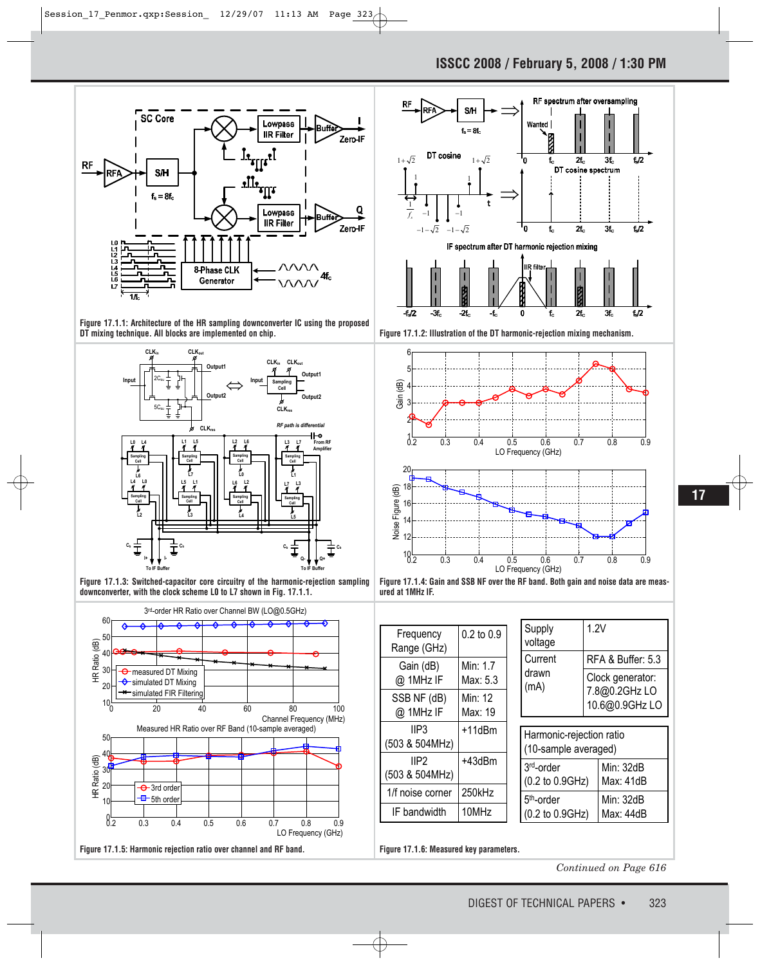





**Figure 17.1.3: Switched-capacitor core circuitry of the harmonic-rejection sampling downconverter, with the clock scheme L0 to L7 shown in Fig. 17.1.1.**











| $0.2$ to $0.9$ |
|----------------|
|                |
|                |
| Min: 1.7       |
| Max: 5.3       |
| Min: 12        |
| Max: 19        |
| +11dBm         |
|                |
| +43dBm         |
|                |
| 250kHz         |
| 10MHz          |
|                |

| Supply<br>voltage        | 1.2V                                                |
|--------------------------|-----------------------------------------------------|
| Current<br>drawn<br>(mA) | RFA & Buffer: 5.3                                   |
|                          | Clock generator:<br>7.8@0.2GHz LO<br>10.6@0.9GHz LO |
|                          |                                                     |
| Harmonic-rejection ratio |                                                     |

| (10-sample averaged)   |           |  |
|------------------------|-----------|--|
| 3rd-order              | Min: 32dB |  |
| (0.2 to 0.9GHz)        | Max: 41dB |  |
| 5 <sup>th</sup> -order | Min: 32dB |  |
| (0.2 to 0.9GHz)        | Max: 44dB |  |

*Continued on Page 616*